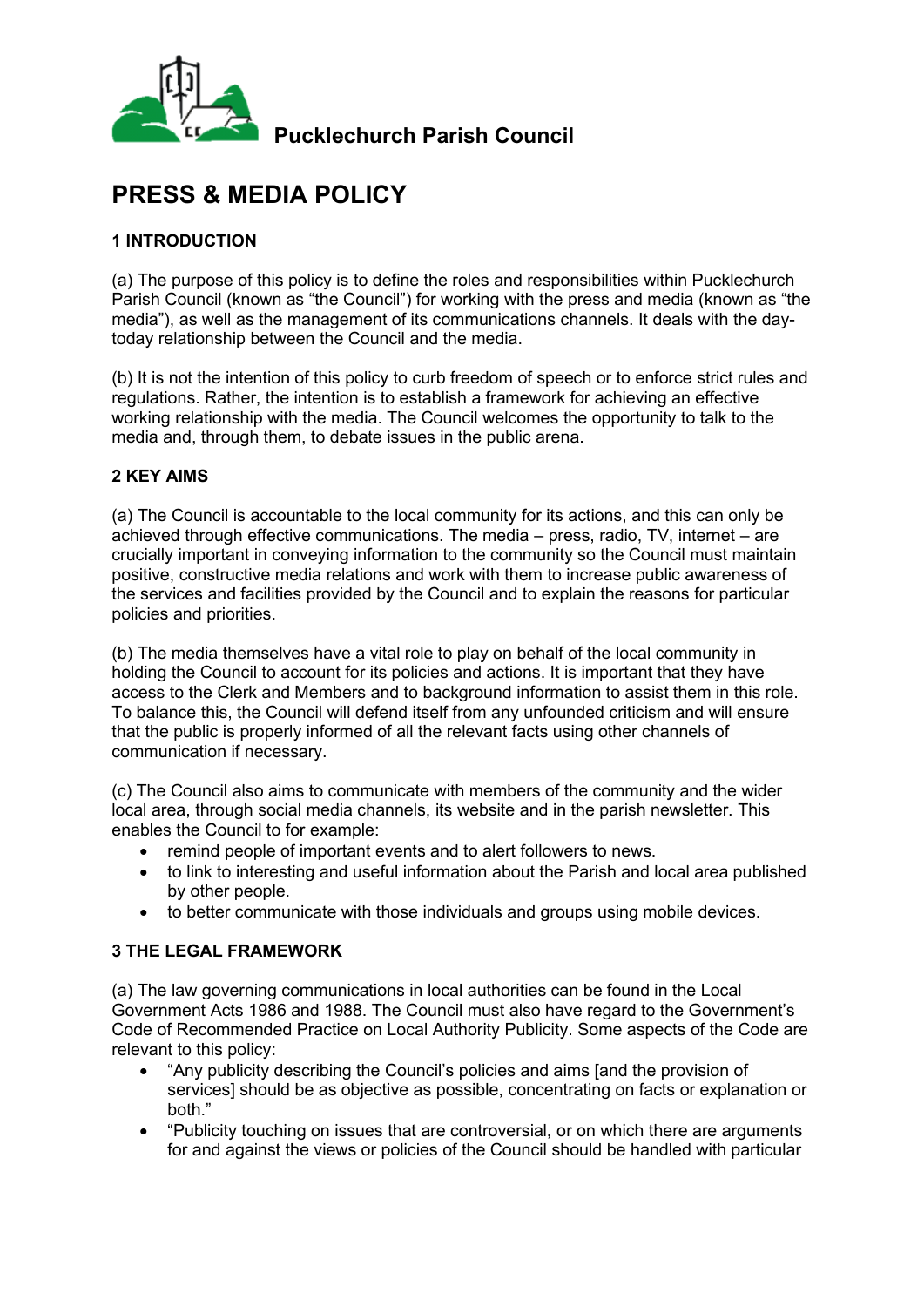

# **PRESS & MEDIA POLICY**

#### **1 INTRODUCTION**

(a) The purpose of this policy is to define the roles and responsibilities within Pucklechurch Parish Council (known as "the Council") for working with the press and media (known as "the media"), as well as the management of its communications channels. It deals with the daytoday relationship between the Council and the media.

(b) It is not the intention of this policy to curb freedom of speech or to enforce strict rules and regulations. Rather, the intention is to establish a framework for achieving an effective working relationship with the media. The Council welcomes the opportunity to talk to the media and, through them, to debate issues in the public arena.

#### **2 KEY AIMS**

(a) The Council is accountable to the local community for its actions, and this can only be achieved through effective communications. The media – press, radio, TV, internet – are crucially important in conveying information to the community so the Council must maintain positive, constructive media relations and work with them to increase public awareness of the services and facilities provided by the Council and to explain the reasons for particular policies and priorities.

(b) The media themselves have a vital role to play on behalf of the local community in holding the Council to account for its policies and actions. It is important that they have access to the Clerk and Members and to background information to assist them in this role. To balance this, the Council will defend itself from any unfounded criticism and will ensure that the public is properly informed of all the relevant facts using other channels of communication if necessary.

(c) The Council also aims to communicate with members of the community and the wider local area, through social media channels, its website and in the parish newsletter. This enables the Council to for example:

- remind people of important events and to alert followers to news.
- to link to interesting and useful information about the Parish and local area published by other people.
- to better communicate with those individuals and groups using mobile devices.

#### **3 THE LEGAL FRAMEWORK**

(a) The law governing communications in local authorities can be found in the Local Government Acts 1986 and 1988. The Council must also have regard to the Government's Code of Recommended Practice on Local Authority Publicity. Some aspects of the Code are relevant to this policy:

- "Any publicity describing the Council's policies and aims [and the provision of services] should be as objective as possible, concentrating on facts or explanation or both."
- "Publicity touching on issues that are controversial, or on which there are arguments for and against the views or policies of the Council should be handled with particular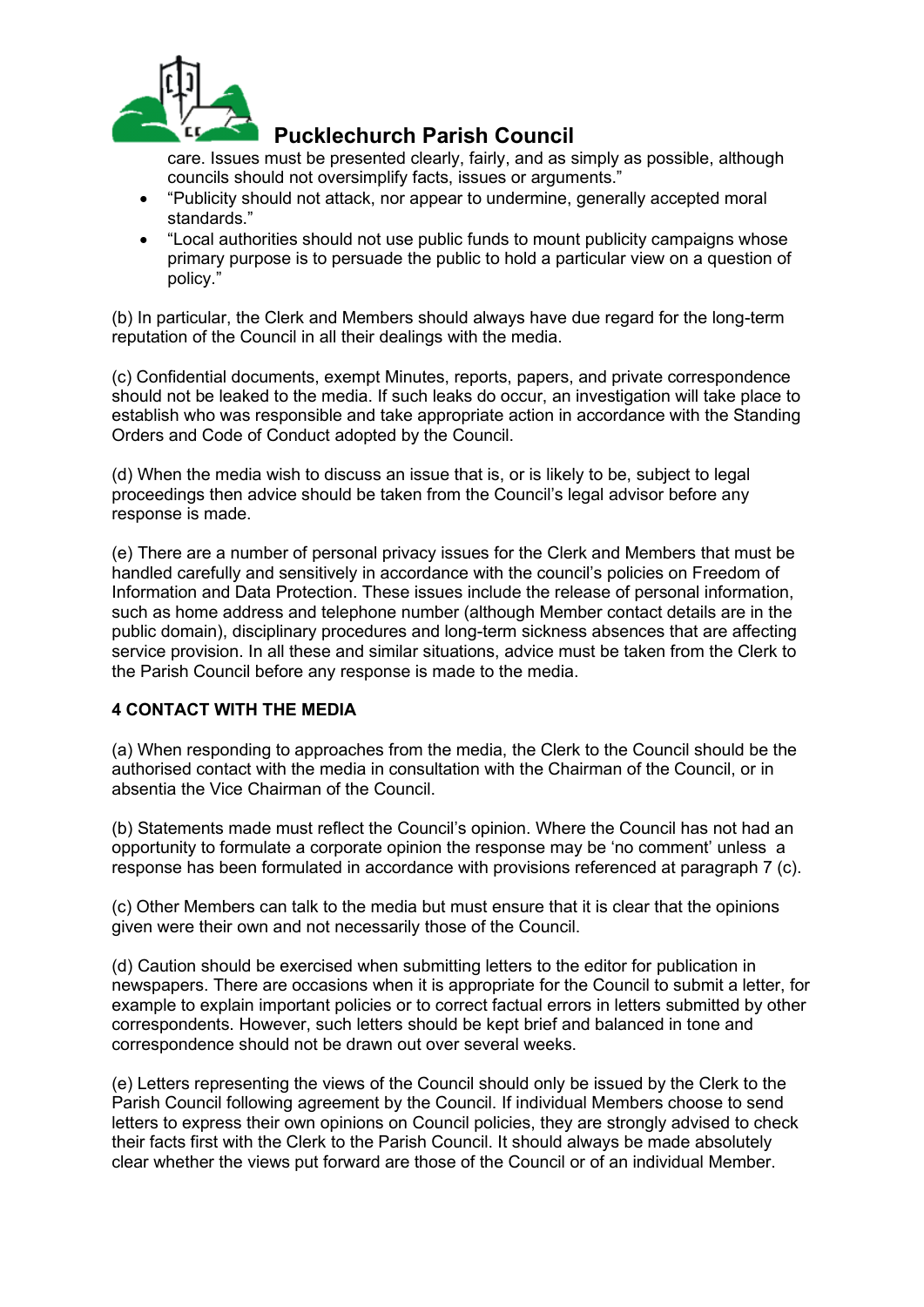

care. Issues must be presented clearly, fairly, and as simply as possible, although councils should not oversimplify facts, issues or arguments."

- "Publicity should not attack, nor appear to undermine, generally accepted moral standards."
- "Local authorities should not use public funds to mount publicity campaigns whose primary purpose is to persuade the public to hold a particular view on a question of policy."

(b) In particular, the Clerk and Members should always have due regard for the long-term reputation of the Council in all their dealings with the media.

(c) Confidential documents, exempt Minutes, reports, papers, and private correspondence should not be leaked to the media. If such leaks do occur, an investigation will take place to establish who was responsible and take appropriate action in accordance with the Standing Orders and Code of Conduct adopted by the Council.

(d) When the media wish to discuss an issue that is, or is likely to be, subject to legal proceedings then advice should be taken from the Council's legal advisor before any response is made.

(e) There are a number of personal privacy issues for the Clerk and Members that must be handled carefully and sensitively in accordance with the council's policies on Freedom of Information and Data Protection. These issues include the release of personal information, such as home address and telephone number (although Member contact details are in the public domain), disciplinary procedures and long-term sickness absences that are affecting service provision. In all these and similar situations, advice must be taken from the Clerk to the Parish Council before any response is made to the media.

#### **4 CONTACT WITH THE MEDIA**

(a) When responding to approaches from the media, the Clerk to the Council should be the authorised contact with the media in consultation with the Chairman of the Council, or in absentia the Vice Chairman of the Council.

(b) Statements made must reflect the Council's opinion. Where the Council has not had an opportunity to formulate a corporate opinion the response may be 'no comment' unless a response has been formulated in accordance with provisions referenced at paragraph 7 (c).

(c) Other Members can talk to the media but must ensure that it is clear that the opinions given were their own and not necessarily those of the Council.

(d) Caution should be exercised when submitting letters to the editor for publication in newspapers. There are occasions when it is appropriate for the Council to submit a letter, for example to explain important policies or to correct factual errors in letters submitted by other correspondents. However, such letters should be kept brief and balanced in tone and correspondence should not be drawn out over several weeks.

(e) Letters representing the views of the Council should only be issued by the Clerk to the Parish Council following agreement by the Council. If individual Members choose to send letters to express their own opinions on Council policies, they are strongly advised to check their facts first with the Clerk to the Parish Council. It should always be made absolutely clear whether the views put forward are those of the Council or of an individual Member.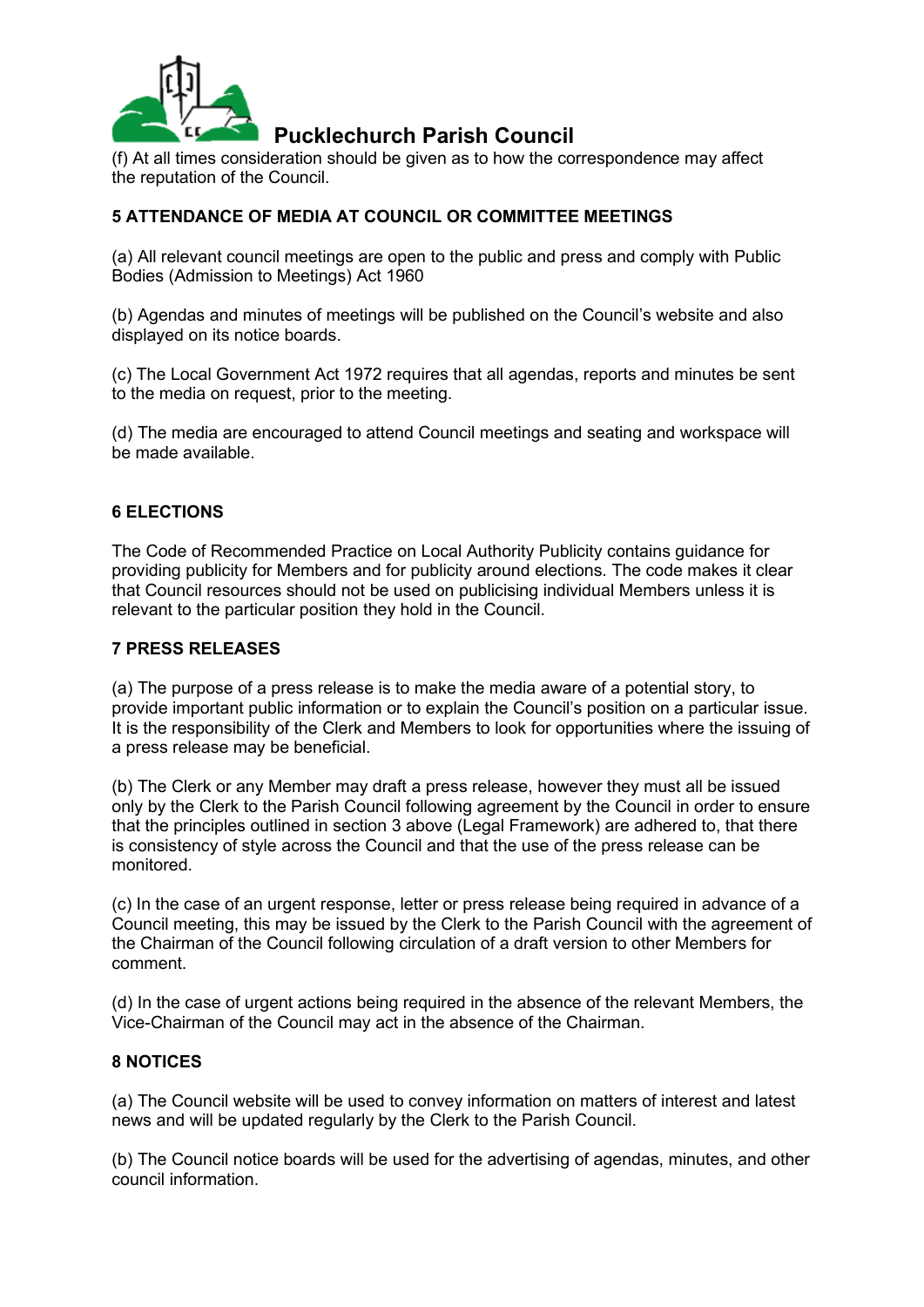

(f) At all times consideration should be given as to how the correspondence may affect the reputation of the Council.

#### **5 ATTENDANCE OF MEDIA AT COUNCIL OR COMMITTEE MEETINGS**

(a) All relevant council meetings are open to the public and press and comply with Public Bodies (Admission to Meetings) Act 1960

(b) Agendas and minutes of meetings will be published on the Council's website and also displayed on its notice boards.

(c) The Local Government Act 1972 requires that all agendas, reports and minutes be sent to the media on request, prior to the meeting.

(d) The media are encouraged to attend Council meetings and seating and workspace will be made available.

#### **6 ELECTIONS**

The Code of Recommended Practice on Local Authority Publicity contains guidance for providing publicity for Members and for publicity around elections. The code makes it clear that Council resources should not be used on publicising individual Members unless it is relevant to the particular position they hold in the Council.

#### **7 PRESS RELEASES**

(a) The purpose of a press release is to make the media aware of a potential story, to provide important public information or to explain the Council's position on a particular issue. It is the responsibility of the Clerk and Members to look for opportunities where the issuing of a press release may be beneficial.

(b) The Clerk or any Member may draft a press release, however they must all be issued only by the Clerk to the Parish Council following agreement by the Council in order to ensure that the principles outlined in section 3 above (Legal Framework) are adhered to, that there is consistency of style across the Council and that the use of the press release can be monitored.

(c) In the case of an urgent response, letter or press release being required in advance of a Council meeting, this may be issued by the Clerk to the Parish Council with the agreement of the Chairman of the Council following circulation of a draft version to other Members for comment.

(d) In the case of urgent actions being required in the absence of the relevant Members, the Vice-Chairman of the Council may act in the absence of the Chairman.

#### **8 NOTICES**

(a) The Council website will be used to convey information on matters of interest and latest news and will be updated regularly by the Clerk to the Parish Council.

(b) The Council notice boards will be used for the advertising of agendas, minutes, and other council information.